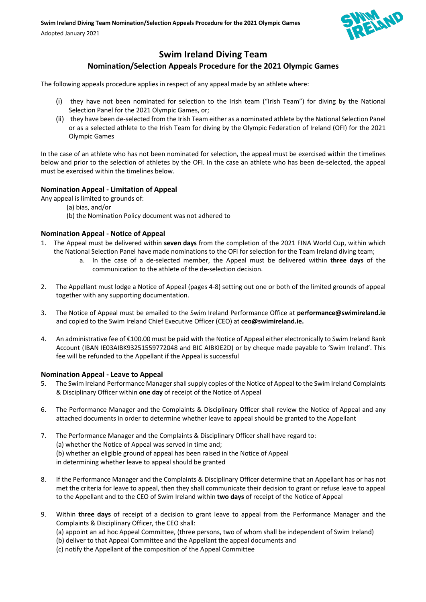

# **Swim Ireland Diving Team**

# **Nomination/Selection Appeals Procedure for the 2021 Olympic Games**

The following appeals procedure applies in respect of any appeal made by an athlete where:

- (i) they have not been nominated for selection to the Irish team ("Irish Team") for diving by the National Selection Panel for the 2021 Olympic Games, or;
- (ii) they have been de-selected from the Irish Team either as a nominated athlete by the National Selection Panel or as a selected athlete to the Irish Team for diving by the Olympic Federation of Ireland (OFI) for the 2021 Olympic Games

In the case of an athlete who has not been nominated for selection, the appeal must be exercised within the timelines below and prior to the selection of athletes by the OFI. In the case an athlete who has been de-selected, the appeal must be exercised within the timelines below.

## **Nomination Appeal - Limitation of Appeal**

- Any appeal is limited to grounds of:
	- (a) bias, and/or
	- (b) the Nomination Policy document was not adhered to

## **Nomination Appeal - Notice of Appeal**

- 1. The Appeal must be delivered within **seven days** from the completion of the 2021 FINA World Cup, within which the National Selection Panel have made nominations to the OFI for selection for the Team Ireland diving team;
	- a. In the case of a de-selected member, the Appeal must be delivered within **three days** of the communication to the athlete of the de-selection decision.
- 2. The Appellant must lodge a Notice of Appeal (pages 4-8) setting out one or both of the limited grounds of appeal together with any supporting documentation.
- 3. The Notice of Appeal must be emailed to the Swim Ireland Performance Office at **performance@swimireland.ie** and copied to the Swim Ireland Chief Executive Officer (CEO) at **ceo@swimireland.ie.**
- 4. An administrative fee of €100.00 must be paid with the Notice of Appeal either electronically to Swim Ireland Bank Account (IBAN IE03AIBK93251559772048 and BIC AIBKIE2D) or by cheque made payable to 'Swim Ireland'. This fee will be refunded to the Appellant if the Appeal is successful

## **Nomination Appeal - Leave to Appeal**

- 5. The Swim Ireland Performance Managershall supply copies of the Notice of Appeal to the Swim Ireland Complaints & Disciplinary Officer within **one day** of receipt of the Notice of Appeal
- 6. The Performance Manager and the Complaints & Disciplinary Officer shall review the Notice of Appeal and any attached documents in order to determine whether leave to appeal should be granted to the Appellant
- 7. The Performance Manager and the Complaints & Disciplinary Officer shall have regard to: (a) whether the Notice of Appeal was served in time and; (b) whether an eligible ground of appeal has been raised in the Notice of Appeal in determining whether leave to appeal should be granted
- 8. If the Performance Manager and the Complaints & Disciplinary Officer determine that an Appellant has or has not met the criteria for leave to appeal, then they shall communicate their decision to grant or refuse leave to appeal to the Appellant and to the CEO of Swim Ireland within **two days** of receipt of the Notice of Appeal
- 9. Within **three days** of receipt of a decision to grant leave to appeal from the Performance Manager and the Complaints & Disciplinary Officer, the CEO shall:
	- (a) appoint an ad hoc Appeal Committee, (three persons, two of whom shall be independent of Swim Ireland) (b) deliver to that Appeal Committee and the Appellant the appeal documents and
	- (c) notify the Appellant of the composition of the Appeal Committee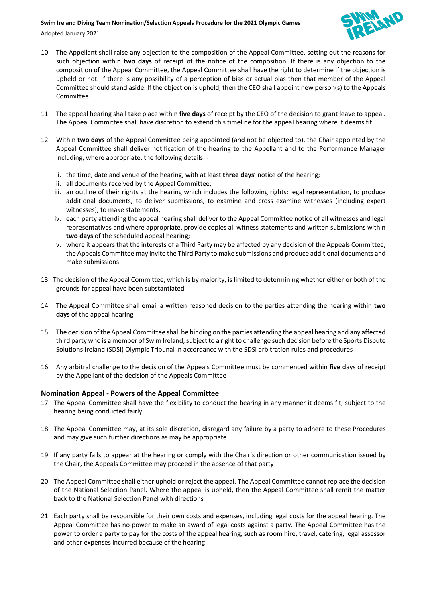#### **Swim Ireland Diving Team Nomination/Selection Appeals Procedure for the 2021 Olympic Games**

Adopted January 2021



- 10. The Appellant shall raise any objection to the composition of the Appeal Committee, setting out the reasons for such objection within **two days** of receipt of the notice of the composition. If there is any objection to the composition of the Appeal Committee, the Appeal Committee shall have the right to determine if the objection is upheld or not. If there is any possibility of a perception of bias or actual bias then that member of the Appeal Committee should stand aside. If the objection is upheld, then the CEO shall appoint new person(s) to the Appeals Committee
- 11. The appeal hearing shall take place within **five days** of receipt by the CEO of the decision to grant leave to appeal. The Appeal Committee shall have discretion to extend this timeline for the appeal hearing where it deems fit
- 12. Within **two days** of the Appeal Committee being appointed (and not be objected to), the Chair appointed by the Appeal Committee shall deliver notification of the hearing to the Appellant and to the Performance Manager including, where appropriate, the following details:
	- i. the time, date and venue of the hearing, with at least **three days**' notice of the hearing;
	- ii. all documents received by the Appeal Committee;
	- iii. an outline of their rights at the hearing which includes the following rights: legal representation, to produce additional documents, to deliver submissions, to examine and cross examine witnesses (including expert witnesses); to make statements;
	- iv. each party attending the appeal hearing shall deliver to the Appeal Committee notice of all witnesses and legal representatives and where appropriate, provide copies all witness statements and written submissions within **two days** of the scheduled appeal hearing;
	- v. where it appears that the interests of a Third Party may be affected by any decision of the Appeals Committee, the Appeals Committee may invite the Third Party to make submissions and produce additional documents and make submissions
- 13. The decision of the Appeal Committee, which is by majority, is limited to determining whether either or both of the grounds for appeal have been substantiated
- 14. The Appeal Committee shall email a written reasoned decision to the parties attending the hearing within **two days** of the appeal hearing
- 15. The decision of the Appeal Committee shall be binding on the parties attending the appeal hearing and any affected third party who is a member of Swim Ireland, subject to a right to challenge such decision before the Sports Dispute Solutions Ireland (SDSI) Olympic Tribunal in accordance with the SDSI arbitration rules and procedures
- 16. Any arbitral challenge to the decision of the Appeals Committee must be commenced within **five** days of receipt by the Appellant of the decision of the Appeals Committee

## **Nomination Appeal - Powers of the Appeal Committee**

- 17. The Appeal Committee shall have the flexibility to conduct the hearing in any manner it deems fit, subject to the hearing being conducted fairly
- 18. The Appeal Committee may, at its sole discretion, disregard any failure by a party to adhere to these Procedures and may give such further directions as may be appropriate
- 19. If any party fails to appear at the hearing or comply with the Chair's direction or other communication issued by the Chair, the Appeals Committee may proceed in the absence of that party
- 20. The Appeal Committee shall either uphold or reject the appeal. The Appeal Committee cannot replace the decision of the National Selection Panel. Where the appeal is upheld, then the Appeal Committee shall remit the matter back to the National Selection Panel with directions
- 21. Each party shall be responsible for their own costs and expenses, including legal costs for the appeal hearing. The Appeal Committee has no power to make an award of legal costs against a party. The Appeal Committee has the power to order a party to pay for the costs of the appeal hearing, such as room hire, travel, catering, legal assessor and other expenses incurred because of the hearing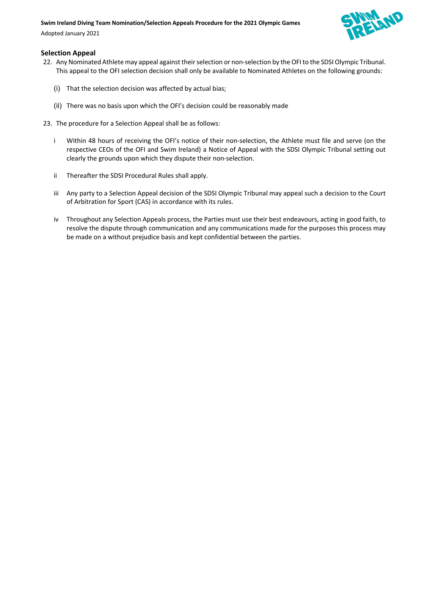#### **Swim Ireland Diving Team Nomination/Selection Appeals Procedure for the 2021 Olympic Games**

Adopted January 2021



#### **Selection Appeal**

- 22. Any Nominated Athlete may appeal against their selection or non-selection by the OFI to the SDSI Olympic Tribunal. This appeal to the OFI selection decision shall only be available to Nominated Athletes on the following grounds:
	- (i) That the selection decision was affected by actual bias;
	- (ii) There was no basis upon which the OFI's decision could be reasonably made
- 23. The procedure for a Selection Appeal shall be as follows:
	- i Within 48 hours of receiving the OFI's notice of their non-selection, the Athlete must file and serve (on the respective CEOs of the OFI and Swim Ireland) a Notice of Appeal with the SDSI Olympic Tribunal setting out clearly the grounds upon which they dispute their non-selection.
	- ii Thereafter the SDSI Procedural Rules shall apply.
	- iii Any party to a Selection Appeal decision of the SDSI Olympic Tribunal may appeal such a decision to the Court of Arbitration for Sport (CAS) in accordance with its rules.
	- iv Throughout any Selection Appeals process, the Parties must use their best endeavours, acting in good faith, to resolve the dispute through communication and any communications made for the purposes this process may be made on a without prejudice basis and kept confidential between the parties.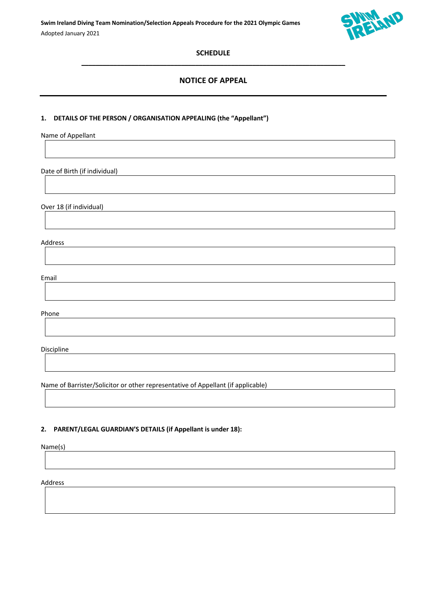

## **SCHEDULE**   $\mathcal{L}_\mathcal{L} = \{ \mathcal{L}_\mathcal{L} = \{ \mathcal{L}_\mathcal{L} = \{ \mathcal{L}_\mathcal{L} = \{ \mathcal{L}_\mathcal{L} = \{ \mathcal{L}_\mathcal{L} = \{ \mathcal{L}_\mathcal{L} = \{ \mathcal{L}_\mathcal{L} = \{ \mathcal{L}_\mathcal{L} = \{ \mathcal{L}_\mathcal{L} = \{ \mathcal{L}_\mathcal{L} = \{ \mathcal{L}_\mathcal{L} = \{ \mathcal{L}_\mathcal{L} = \{ \mathcal{L}_\mathcal{L} = \{ \mathcal{L}_\mathcal{$

# **NOTICE OF APPEAL**

#### **1. DETAILS OF THE PERSON / ORGANISATION APPEALING (the "Appellant")**

Name of Appellant

Date of Birth (if individual)

Over 18 (if individual)

Address

Email

Phone

Discipline

Name of Barrister/Solicitor or other representative of Appellant (if applicable)

### **2. PARENT/LEGAL GUARDIAN'S DETAILS (if Appellant is under 18):**

Name(s)

Address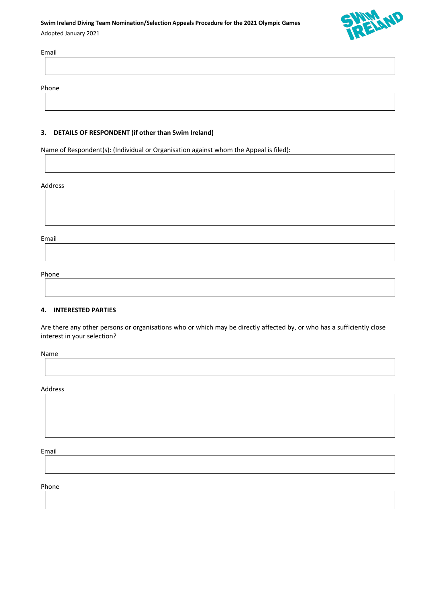# **Swim Ireland Diving Team Nomination/Selection Appeals Procedure for the 2021 Olympic Games** Adopted January 2021



Email

Phone

## **3. DETAILS OF RESPONDENT (if other than Swim Ireland)**

Name of Respondent(s): (Individual or Organisation against whom the Appeal is filed):

#### Address

Email

Phone

#### **4. INTERESTED PARTIES**

Are there any other persons or organisations who or which may be directly affected by, or who has a sufficiently close interest in your selection?

Name

Address

Email

Phone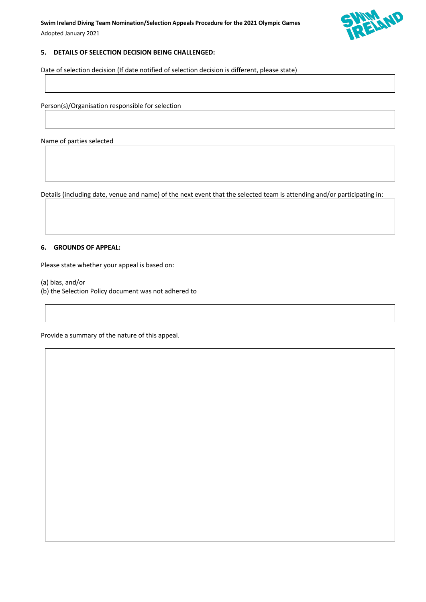

## **5. DETAILS OF SELECTION DECISION BEING CHALLENGED:**

Date of selection decision (If date notified of selection decision is different, please state)

Person(s)/Organisation responsible for selection

Name of parties selected

Details (including date, venue and name) of the next event that the selected team is attending and/or participating in:

#### **6. GROUNDS OF APPEAL:**

Please state whether your appeal is based on:

- (a) bias, and/or
- (b) the Selection Policy document was not adhered to

Provide a summary of the nature of this appeal.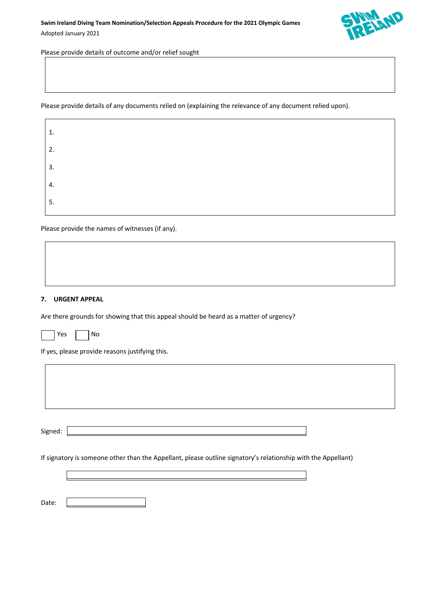

Please provide details of outcome and/or relief sought

Please provide details of any documents relied on (explaining the relevance of any document relied upon).

| 1. |  |  |
|----|--|--|
| 2. |  |  |
| 3. |  |  |
| 4. |  |  |
| 5. |  |  |

Please provide the names of witnesses (if any).

#### **7. URGENT APPEAL**

 $\Gamma$ 

Are there grounds for showing that this appeal should be heard as a matter of urgency?

Yes **No** 

If yes, please provide reasons justifying this.

Signed: \_\_\_\_\_\_\_\_\_\_\_\_\_\_\_\_\_\_\_\_\_\_\_\_\_\_\_\_\_\_\_\_\_\_\_\_\_\_\_\_\_\_\_\_\_\_\_\_\_\_\_\_\_\_\_\_\_\_\_\_\_\_\_\_\_\_\_

If signatory is someone other than the Appellant, please outline signatory's relationship with the Appellant)

\_\_\_\_\_\_\_\_\_\_\_\_\_\_\_\_\_\_\_\_\_\_\_\_\_\_\_\_\_\_\_\_\_\_\_\_\_\_\_\_\_\_\_\_\_\_\_\_\_\_\_\_\_\_\_\_\_\_\_\_\_\_\_\_\_\_\_

Date: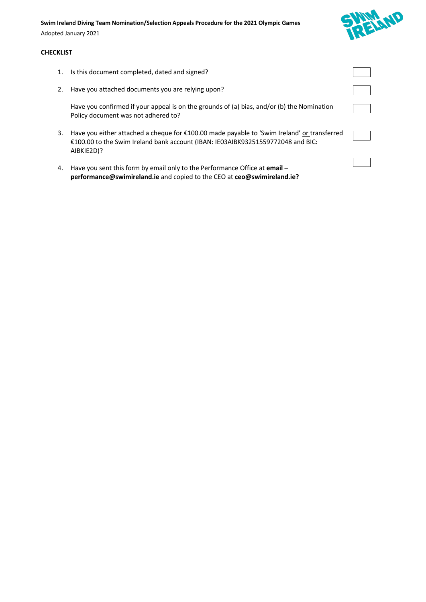#### **Swim Ireland Diving Team Nomination/Selection Appeals Procedure for the 2021 Olympic Games**

Adopted January 2021

#### **CHECKLIST**

- 1. Is this document completed, dated and signed?
- 2. Have you attached documents you are relying upon?

Have you confirmed if your appeal is on the grounds of (a) bias, and/or (b) the Nomination Policy document was not adhered to?

- 3. Have you either attached a cheque for €100.00 made payable to 'Swim Ireland' or transferred €100.00 to the Swim Ireland bank account (IBAN: IE03AIBK93251559772048 and BIC: AIBKIE2D)?
- 4. Have you sent this form by email only to the Performance Office at **email – performance@swimireland.ie** and copied to the CEO at **ceo@swimireland.ie?**



|  | _______ | ۰ |
|--|---------|---|
|  |         |   |
|  |         |   |
|  |         |   |
|  |         |   |
|  |         |   |
|  |         |   |
|  | _______ |   |
|  |         |   |